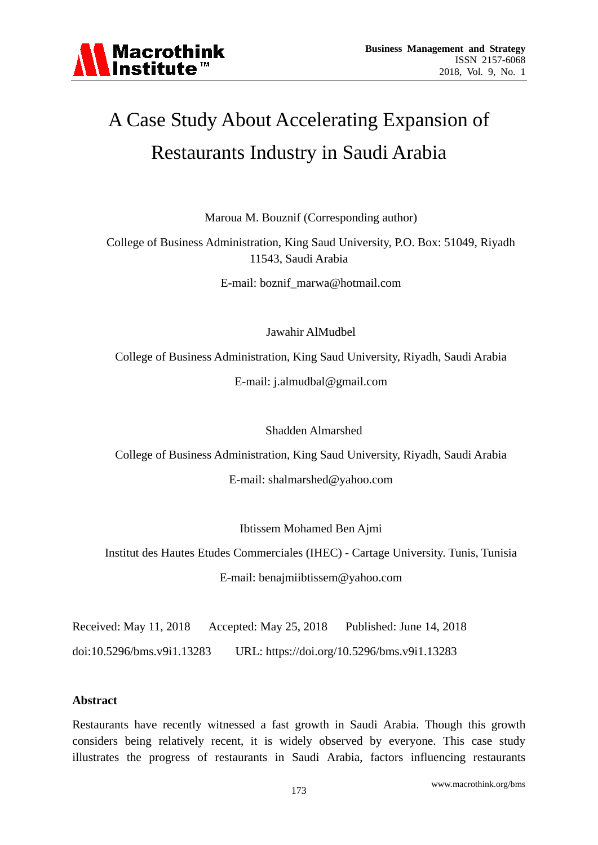

# A Case Study About Accelerating Expansion of Restaurants Industry in Saudi Arabia

Maroua M. Bouznif (Corresponding author)

College of Business Administration, King Saud University, P.O. Box: 51049, Riyadh 11543, Saudi Arabia

E-mail: boznif\_marwa@hotmail.com

Jawahir AlMudbel

College of Business Administration, King Saud University, Riyadh, Saudi Arabia E-mail: j.almudbal@gmail.com

Shadden Almarshed

College of Business Administration, King Saud University, Riyadh, Saudi Arabia E-mail: shalmarshed@yahoo.com

Ibtissem Mohamed Ben Ajmi

Institut des Hautes Etudes Commerciales (IHEC) - Cartage University. Tunis, Tunisia E-mail: benajmiibtissem@yahoo.com

Received: May 11, 2018 Accepted: May 25, 2018 Published: June 14, 2018

doi:10.5296/bms.v9i1.13283 URL: https://doi.org/10.5296/bms.v9i1.13283

#### **Abstract**

Restaurants have recently witnessed a fast growth in Saudi Arabia. Though this growth considers being relatively recent, it is widely observed by everyone. This case study illustrates the progress of restaurants in Saudi Arabia, factors influencing restaurants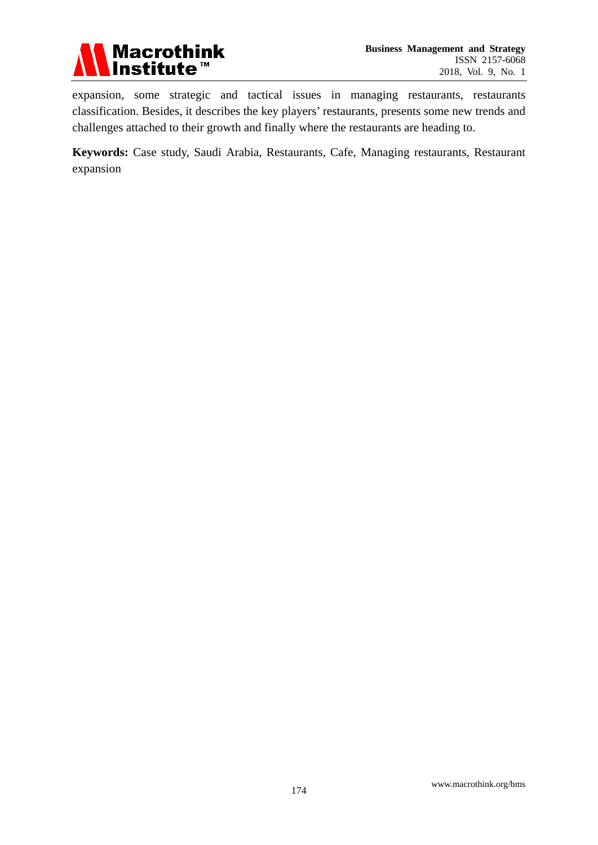

expansion, some strategic and tactical issues in managing restaurants, restaurants classification. Besides, it describes the key players' restaurants, presents some new trends and challenges attached to their growth and finally where the restaurants are heading to.

**Keywords:** Case study, Saudi Arabia, Restaurants, Cafe, Managing restaurants, Restaurant expansion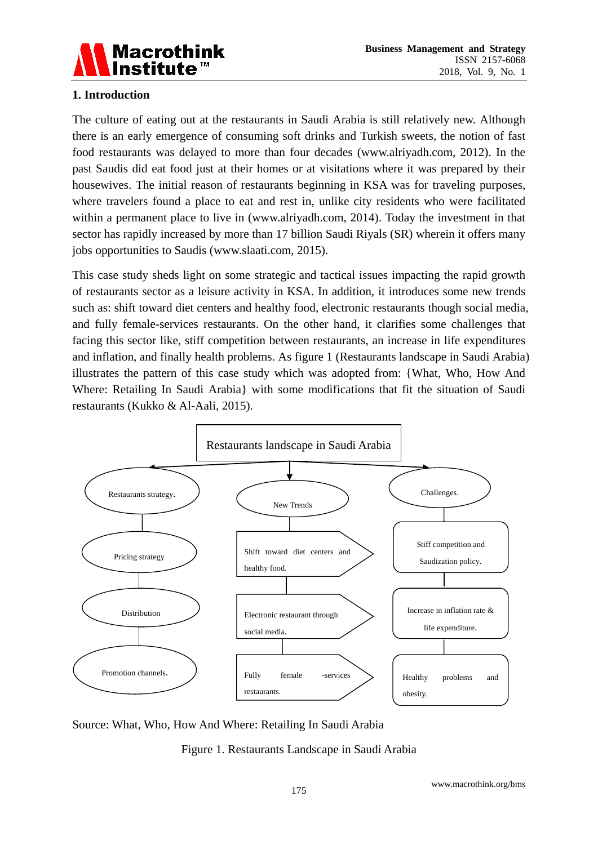

# **1. Introduction**

The culture of eating out at the restaurants in Saudi Arabia is still relatively new. Although there is an early emergence of consuming soft drinks and Turkish sweets, the notion of fast food restaurants was delayed to more than four decades (www.alriyadh.com, 2012). In the past Saudis did eat food just at their homes or at visitations where it was prepared by their housewives. The initial reason of restaurants beginning in KSA was for traveling purposes, where travelers found a place to eat and rest in, unlike city residents who were facilitated within a permanent place to live in (www.alriyadh.com, 2014). Today the investment in that sector has rapidly increased by more than 17 billion Saudi Riyals (SR) wherein it offers many jobs opportunities to Saudis (www.slaati.com, 2015).

This case study sheds light on some strategic and tactical issues impacting the rapid growth of restaurants sector as a leisure activity in KSA. In addition, it introduces some new trends such as: shift toward diet centers and healthy food, electronic restaurants though social media, and fully female-services restaurants. On the other hand, it clarifies some challenges that facing this sector like, stiff competition between restaurants, an increase in life expenditures and inflation, and finally health problems. As figure 1 (Restaurants landscape in Saudi Arabia) illustrates the pattern of this case study which was adopted from: {What, Who, How And Where: Retailing In Saudi Arabia} with some modifications that fit the situation of Saudi restaurants (Kukko & Al-Aali, 2015).



Source: What, Who, How And Where: Retailing In Saudi Arabia

Figure 1. Restaurants Landscape in Saudi Arabia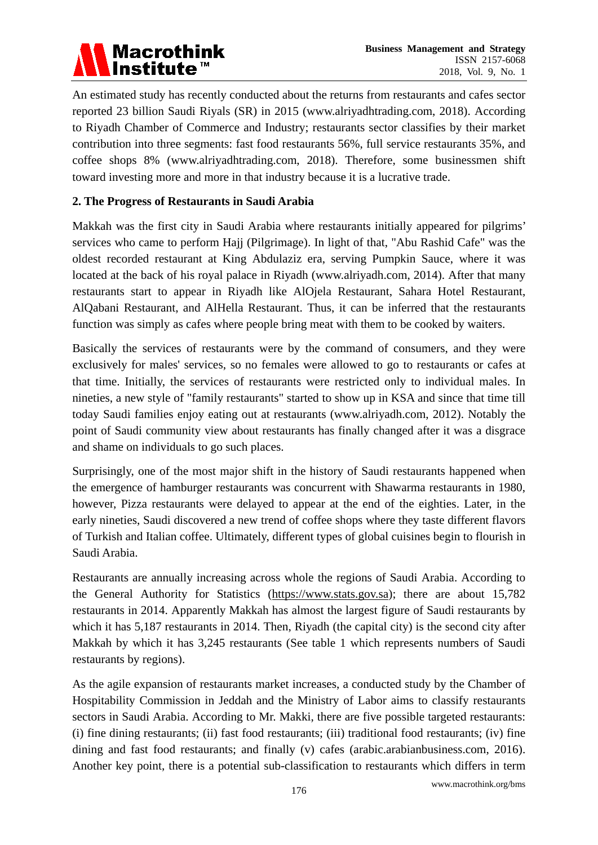

An estimated study has recently conducted about the returns from restaurants and cafes sector reported 23 billion Saudi Riyals (SR) in 2015 (www.alriyadhtrading.com, 2018). According to Riyadh Chamber of Commerce and Industry; restaurants sector classifies by their market contribution into three segments: fast food restaurants 56%, full service restaurants 35%, and coffee shops 8% (www.alriyadhtrading.com, 2018). Therefore, some businessmen shift toward investing more and more in that industry because it is a lucrative trade.

# **2. The Progress of Restaurants in Saudi Arabia**

Makkah was the first city in Saudi Arabia where restaurants initially appeared for pilgrims' services who came to perform Hajj (Pilgrimage). In light of that, "Abu Rashid Cafe" was the oldest recorded restaurant at King Abdulaziz era, serving Pumpkin Sauce, where it was located at the back of his royal palace in Riyadh (www.alriyadh.com, 2014). After that many restaurants start to appear in Riyadh like AlOjela Restaurant, Sahara Hotel Restaurant, AlQabani Restaurant, and AlHella Restaurant. Thus, it can be inferred that the restaurants function was simply as cafes where people bring meat with them to be cooked by waiters.

Basically the services of restaurants were by the command of consumers, and they were exclusively for males' services, so no females were allowed to go to restaurants or cafes at that time. Initially, the services of restaurants were restricted only to individual males. In nineties, a new style of "family restaurants" started to show up in KSA and since that time till today Saudi families enjoy eating out at restaurants (www.alriyadh.com, 2012). Notably the point of Saudi community view about restaurants has finally changed after it was a disgrace and shame on individuals to go such places.

Surprisingly, one of the most major shift in the history of Saudi restaurants happened when the emergence of hamburger restaurants was concurrent with Shawarma restaurants in 1980, however, Pizza restaurants were delayed to appear at the end of the eighties. Later, in the early nineties, Saudi discovered a new trend of coffee shops where they taste different flavors of Turkish and Italian coffee. Ultimately, different types of global cuisines begin to flourish in Saudi Arabia.

Restaurants are annually increasing across whole the regions of Saudi Arabia. According to the General Authority for Statistics [\(https://www.stats.gov.sa\)](https://www.stats.gov.sa/); there are about 15,782 restaurants in 2014. Apparently Makkah has almost the largest figure of Saudi restaurants by which it has 5,187 restaurants in 2014. Then, Riyadh (the capital city) is the second city after Makkah by which it has 3,245 restaurants (See table 1 which represents numbers of Saudi restaurants by regions).

As the agile expansion of restaurants market increases, a conducted study by the Chamber of Hospitability Commission in Jeddah and the Ministry of Labor aims to classify restaurants sectors in Saudi Arabia. According to Mr. Makki, there are five possible targeted restaurants: (i) fine dining restaurants; (ii) fast food restaurants; (iii) traditional food restaurants; (iv) fine dining and fast food restaurants; and finally (v) cafes (arabic.arabianbusiness.com, 2016). Another key point, there is a potential sub-classification to restaurants which differs in term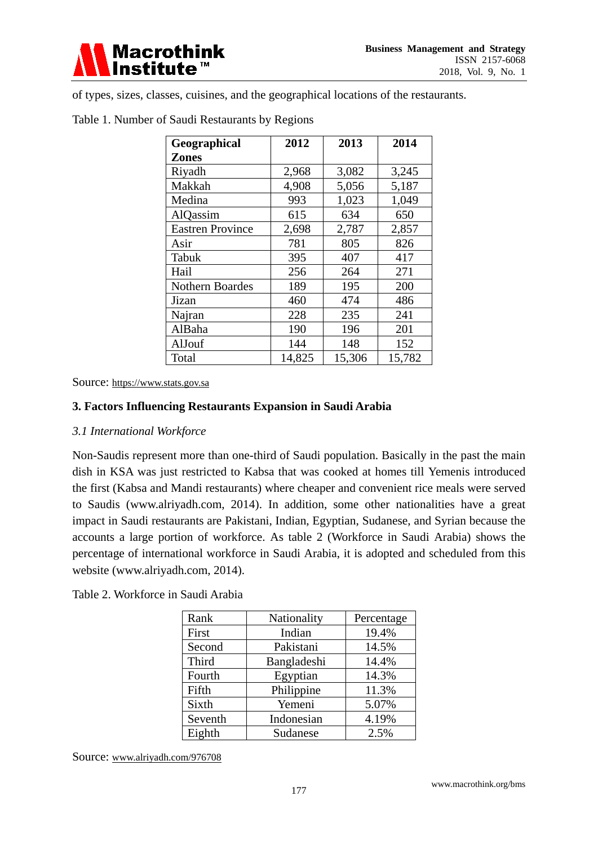

of types, sizes, classes, cuisines, and the geographical locations of the restaurants.

| Geographical            | 2012   | 2013   | 2014   |
|-------------------------|--------|--------|--------|
| <b>Zones</b>            |        |        |        |
| Riyadh                  | 2,968  | 3,082  | 3,245  |
| Makkah                  | 4,908  | 5,056  | 5,187  |
| Medina                  | 993    | 1,023  | 1,049  |
| AlQassim                | 615    | 634    | 650    |
| <b>Eastren Province</b> | 2,698  | 2,787  | 2,857  |
| Asir                    | 781    | 805    | 826    |
| Tabuk                   | 395    | 407    | 417    |
| Hail                    | 256    | 264    | 271    |
| <b>Nothern Boardes</b>  | 189    | 195    | 200    |
| Jizan                   | 460    | 474    | 486    |
| Najran                  | 228    | 235    | 241    |
| AlBaha                  | 190    | 196    | 201    |
| AlJouf                  | 144    | 148    | 152    |
| Total                   | 14,825 | 15,306 | 15,782 |

#### Table 1. Number of Saudi Restaurants by Regions

Source: [https://www.stats.gov.sa](https://www.stats.gov.sa/)

#### **3. Factors Influencing Restaurants Expansion in Saudi Arabia**

#### *3.1 International Workforce*

Non-Saudis represent more than one-third of Saudi population. Basically in the past the main dish in KSA was just restricted to Kabsa that was cooked at homes till Yemenis introduced the first (Kabsa and Mandi restaurants) where cheaper and convenient rice meals were served to Saudis (www.alriyadh.com, 2014). In addition, some other nationalities have a great impact in Saudi restaurants are Pakistani, Indian, Egyptian, Sudanese, and Syrian because the accounts a large portion of workforce. As table 2 (Workforce in Saudi Arabia) shows the percentage of international workforce in Saudi Arabia, it is adopted and scheduled from this website (www.alriyadh.com, 2014).

Table 2. Workforce in Saudi Arabia

| Rank    | Nationality | Percentage |
|---------|-------------|------------|
| First   | Indian      | 19.4%      |
| Second  | Pakistani   | 14.5%      |
| Third   | Bangladeshi | 14.4%      |
| Fourth  | Egyptian    | 14.3%      |
| Fifth   | Philippine  | 11.3%      |
| Sixth   | Yemeni      | 5.07%      |
| Seventh | Indonesian  | 4.19%      |
| Eighth  | Sudanese    | 2.5%       |

Source: www.alriyadh.com/976708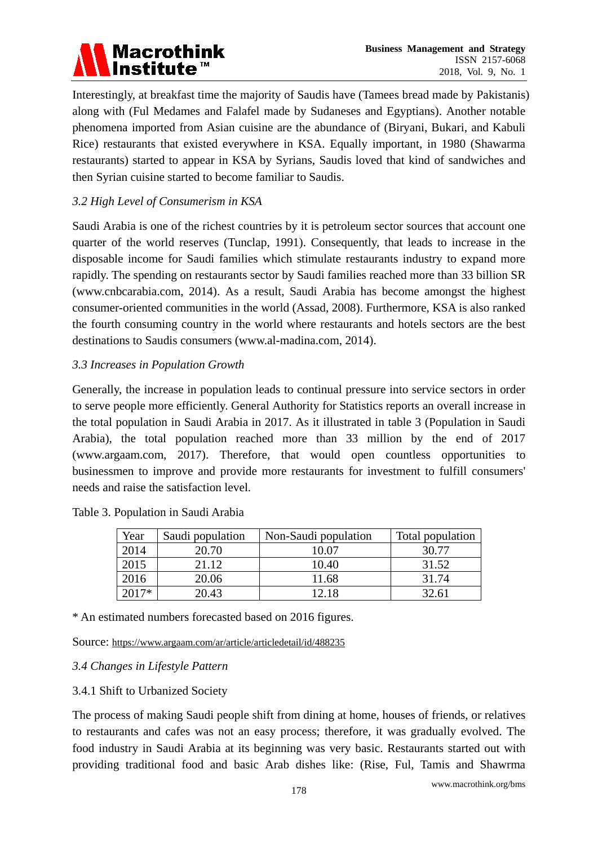# **Macrothink Institute**

Interestingly, at breakfast time the majority of Saudis have (Tamees bread made by Pakistanis) along with (Ful Medames and Falafel made by Sudaneses and Egyptians). Another notable phenomena imported from Asian cuisine are the abundance of (Biryani, Bukari, and Kabuli Rice) restaurants that existed everywhere in KSA. Equally important, in 1980 (Shawarma restaurants) started to appear in KSA by Syrians, Saudis loved that kind of sandwiches and then Syrian cuisine started to become familiar to Saudis.

# *3.2 High Level of Consumerism in KSA*

Saudi Arabia is one of the richest countries by it is petroleum sector sources that account one quarter of the world reserves (Tunclap, 1991). Consequently, that leads to increase in the disposable income for Saudi families which stimulate restaurants industry to expand more rapidly. The spending on restaurants sector by Saudi families reached more than 33 billion SR (www.cnbcarabia.com, 2014). As a result, Saudi Arabia has become amongst the highest consumer-oriented communities in the world (Assad, 2008). Furthermore, KSA is also ranked the fourth consuming country in the world where restaurants and hotels sectors are the best destinations to Saudis consumers (www.al-madina.com, 2014).

# *3.3 Increases in Population Growth*

Generally, the increase in population leads to continual pressure into service sectors in order to serve people more efficiently. General Authority for Statistics reports an overall increase in the total population in Saudi Arabia in 2017. As it illustrated in table 3 (Population in Saudi Arabia), the total population reached more than 33 million by the end of 2017 (www.argaam.com, 2017). Therefore, that would open countless opportunities to businessmen to improve and provide more restaurants for investment to fulfill consumers' needs and raise the satisfaction level.

Table 3. Population in Saudi Arabia

| Year | Saudi population | Non-Saudi population | Total population |
|------|------------------|----------------------|------------------|
| 2014 | 20.70            | 10.07                | 30.77            |
| 2015 | 21.12            | 10.40                | 31.52            |
| 2016 | 20.06            | 11.68                | 31.74            |
| $7*$ | 20.43            | 12 18                | 32.61            |

\* An estimated numbers forecasted based on 2016 figures.

Source:<https://www.argaam.com/ar/article/articledetail/id/488235>

# *3.4 Changes in Lifestyle Pattern*

# 3.4.1 Shift to Urbanized Society

The process of making Saudi people shift from dining at home, houses of friends, or relatives to restaurants and cafes was not an easy process; therefore, it was gradually evolved. The food industry in Saudi Arabia at its beginning was very basic. Restaurants started out with providing traditional food and basic Arab dishes like: (Rise, Ful, Tamis and Shawrma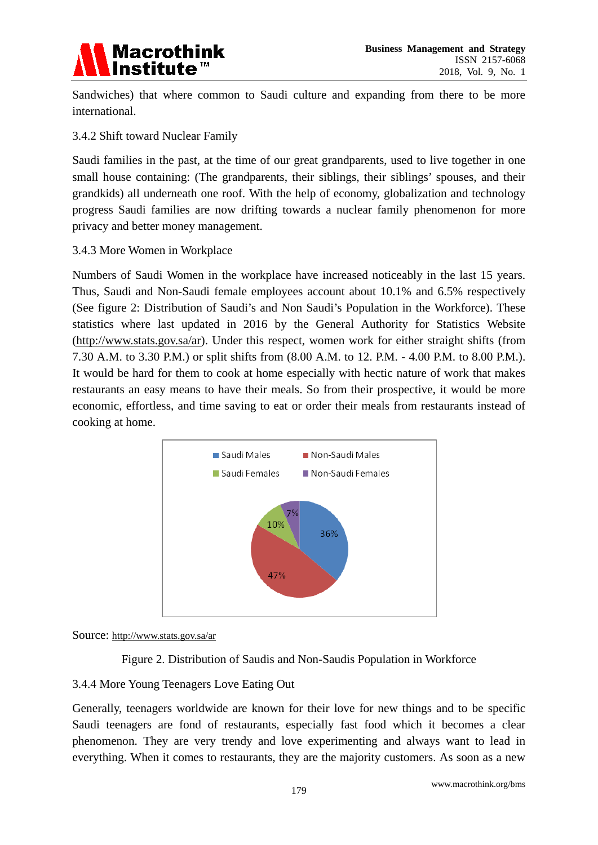

Sandwiches) that where common to Saudi culture and expanding from there to be more international.

3.4.2 Shift toward Nuclear Family

Saudi families in the past, at the time of our great grandparents, used to live together in one small house containing: (The grandparents, their siblings, their siblings' spouses, and their grandkids) all underneath one roof. With the help of economy, globalization and technology progress Saudi families are now drifting towards a nuclear family phenomenon for more privacy and better money management.

3.4.3 More Women in Workplace

Numbers of Saudi Women in the workplace have increased noticeably in the last 15 years. Thus, Saudi and Non-Saudi female employees account about 10.1% and 6.5% respectively (See figure 2: Distribution of Saudi's and Non Saudi's Population in the Workforce). These statistics where last updated in 2016 by the General Authority for Statistics Website [\(http://www.stats.gov.sa/ar\)](http://www.stats.gov.sa/ar). Under this respect, women work for either straight shifts (from 7.30 A.M. to 3.30 P.M.) or split shifts from (8.00 A.M. to 12. P.M. - 4.00 P.M. to 8.00 P.M.). It would be hard for them to cook at home especially with hectic nature of work that makes restaurants an easy means to have their meals. So from their prospective, it would be more economic, effortless, and time saving to eat or order their meals from restaurants instead of cooking at home.



Source:<http://www.stats.gov.sa/ar>

Figure 2. Distribution of Saudis and Non-Saudis Population in Workforce

# 3.4.4 More Young Teenagers Love Eating Out

Generally, teenagers worldwide are known for their love for new things and to be specific Saudi teenagers are fond of restaurants, especially fast food which it becomes a clear phenomenon. They are very trendy and love experimenting and always want to lead in everything. When it comes to restaurants, they are the majority customers. As soon as a new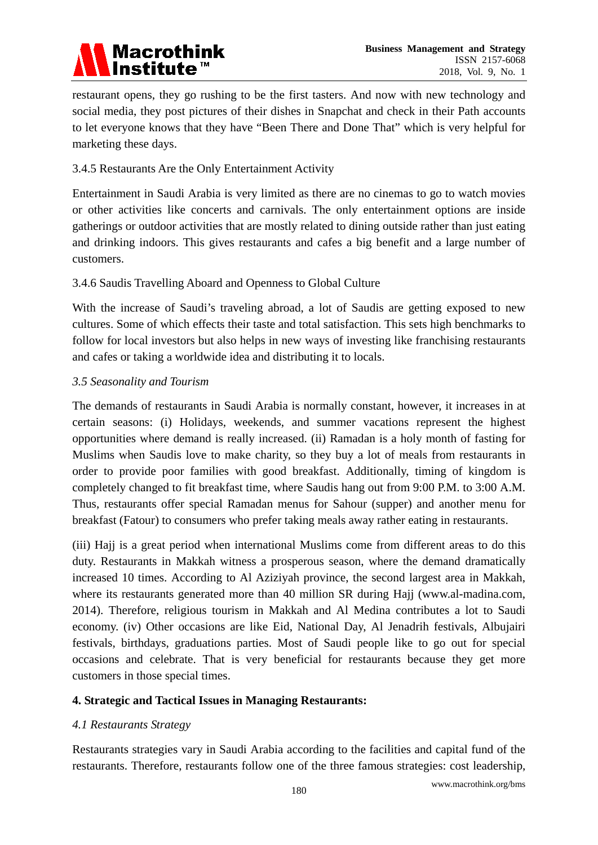# **Macrothink Institute**

restaurant opens, they go rushing to be the first tasters. And now with new technology and social media, they post pictures of their dishes in Snapchat and check in their Path accounts to let everyone knows that they have "Been There and Done That" which is very helpful for marketing these days.

# 3.4.5 Restaurants Are the Only Entertainment Activity

Entertainment in Saudi Arabia is very limited as there are no cinemas to go to watch movies or other activities like concerts and carnivals. The only entertainment options are inside gatherings or outdoor activities that are mostly related to dining outside rather than just eating and drinking indoors. This gives restaurants and cafes a big benefit and a large number of customers.

# 3.4.6 Saudis Travelling Aboard and Openness to Global Culture

With the increase of Saudi's traveling abroad, a lot of Saudis are getting exposed to new cultures. Some of which effects their taste and total satisfaction. This sets high benchmarks to follow for local investors but also helps in new ways of investing like franchising restaurants and cafes or taking a worldwide idea and distributing it to locals.

# *3.5 Seasonality and Tourism*

The demands of restaurants in Saudi Arabia is normally constant, however, it increases in at certain seasons: (i) Holidays, weekends, and summer vacations represent the highest opportunities where demand is really increased. (ii) Ramadan is a holy month of fasting for Muslims when Saudis love to make charity, so they buy a lot of meals from restaurants in order to provide poor families with good breakfast. Additionally, timing of kingdom is completely changed to fit breakfast time, where Saudis hang out from 9:00 P.M. to 3:00 A.M. Thus, restaurants offer special Ramadan menus for Sahour (supper) and another menu for breakfast (Fatour) to consumers who prefer taking meals away rather eating in restaurants.

(iii) Hajj is a great period when international Muslims come from different areas to do this duty. Restaurants in Makkah witness a prosperous season, where the demand dramatically increased 10 times. According to Al Aziziyah province, the second largest area in Makkah, where its restaurants generated more than 40 million SR during Hajj (www.al-madina.com, 2014). Therefore, religious tourism in Makkah and Al Medina contributes a lot to Saudi economy. (iv) Other occasions are like Eid, National Day, Al Jenadrih festivals, Albujairi festivals, birthdays, graduations parties. Most of Saudi people like to go out for special occasions and celebrate. That is very beneficial for restaurants because they get more customers in those special times.

# **4. Strategic and Tactical Issues in Managing Restaurants:**

# *4.1 Restaurants Strategy*

Restaurants strategies vary in Saudi Arabia according to the facilities and capital fund of the restaurants. Therefore, restaurants follow one of the three famous strategies: cost leadership,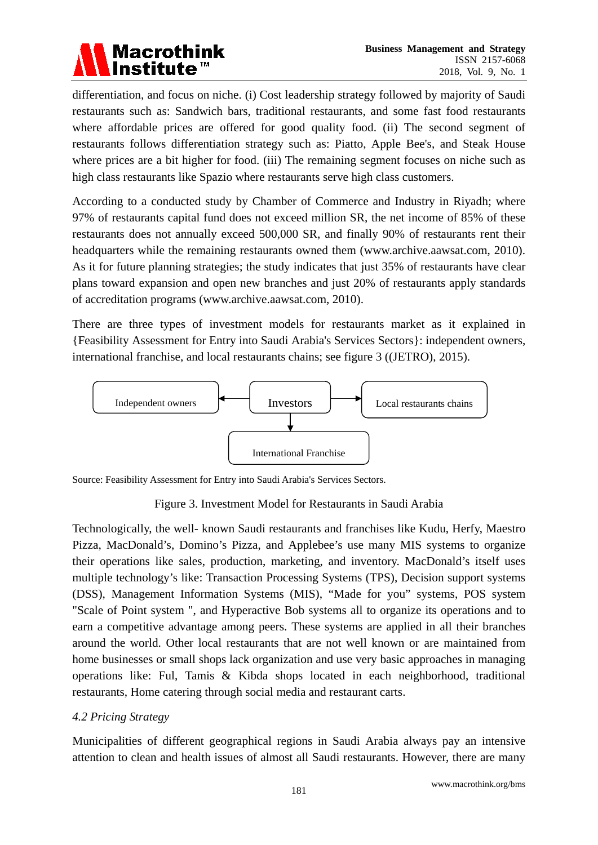

differentiation, and focus on niche. (i) Cost leadership strategy followed by majority of Saudi restaurants such as: Sandwich bars, traditional restaurants, and some fast food restaurants where affordable prices are offered for good quality food. (ii) The second segment of restaurants follows differentiation strategy such as: Piatto, Apple Bee's, and Steak House where prices are a bit higher for food. (iii) The remaining segment focuses on niche such as high class restaurants like Spazio where restaurants serve high class customers.

According to a conducted study by Chamber of Commerce and Industry in Riyadh; where 97% of restaurants capital fund does not exceed million SR, the net income of 85% of these restaurants does not annually exceed 500,000 SR, and finally 90% of restaurants rent their headquarters while the remaining restaurants owned them (www.archive.aawsat.com, 2010). As it for future planning strategies; the study indicates that just 35% of restaurants have clear plans toward expansion and open new branches and just 20% of restaurants apply standards of accreditation programs (www.archive.aawsat.com, 2010).

There are three types of investment models for restaurants market as it explained in {Feasibility Assessment for Entry into Saudi Arabia's Services Sectors}: independent owners, international franchise, and local restaurants chains; see figure 3 ((JETRO), 2015).



Source: Feasibility Assessment for Entry into Saudi Arabia's Services Sectors.

# Figure 3. Investment Model for Restaurants in Saudi Arabia

Technologically, the well- known Saudi restaurants and franchises like Kudu, Herfy, Maestro Pizza, MacDonald's, Domino's Pizza, and Applebee's use many MIS systems to organize their operations like sales, production, marketing, and inventory. MacDonald's itself uses multiple technology's like: Transaction Processing Systems (TPS), Decision support systems (DSS), Management Information Systems (MIS), "Made for you" systems, POS system "Scale of Point system ", and Hyperactive Bob systems all to organize its operations and to earn a competitive advantage among peers. These systems are applied in all their branches around the world. Other local restaurants that are not well known or are maintained from home businesses or small shops lack organization and use very basic approaches in managing operations like: Ful, Tamis & Kibda shops located in each neighborhood, traditional restaurants, Home catering through social media and restaurant carts.

# *4.2 Pricing Strategy*

Municipalities of different geographical regions in Saudi Arabia always pay an intensive attention to clean and health issues of almost all Saudi restaurants. However, there are many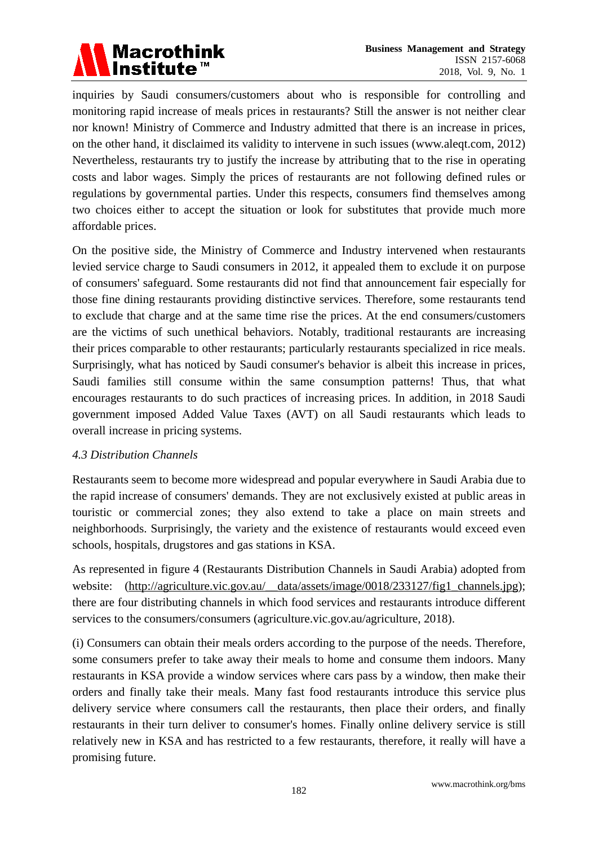

inquiries by Saudi consumers/customers about who is responsible for controlling and monitoring rapid increase of meals prices in restaurants? Still the answer is not neither clear nor known! Ministry of Commerce and Industry admitted that there is an increase in prices, on the other hand, it disclaimed its validity to intervene in such issues (www.aleqt.com, 2012) Nevertheless, restaurants try to justify the increase by attributing that to the rise in operating costs and labor wages. Simply the prices of restaurants are not following defined rules or regulations by governmental parties. Under this respects, consumers find themselves among two choices either to accept the situation or look for substitutes that provide much more affordable prices.

On the positive side, the Ministry of Commerce and Industry intervened when restaurants levied service charge to Saudi consumers in 2012, it appealed them to exclude it on purpose of consumers' safeguard. Some restaurants did not find that announcement fair especially for those fine dining restaurants providing distinctive services. Therefore, some restaurants tend to exclude that charge and at the same time rise the prices. At the end consumers/customers are the victims of such unethical behaviors. Notably, traditional restaurants are increasing their prices comparable to other restaurants; particularly restaurants specialized in rice meals. Surprisingly, what has noticed by Saudi consumer's behavior is albeit this increase in prices, Saudi families still consume within the same consumption patterns! Thus, that what encourages restaurants to do such practices of increasing prices. In addition, in 2018 Saudi government imposed Added Value Taxes (AVT) on all Saudi restaurants which leads to overall increase in pricing systems.

#### *4.3 Distribution Channels*

Restaurants seem to become more widespread and popular everywhere in Saudi Arabia due to the rapid increase of consumers' demands. They are not exclusively existed at public areas in touristic or commercial zones; they also extend to take a place on main streets and neighborhoods. Surprisingly, the variety and the existence of restaurants would exceed even schools, hospitals, drugstores and gas stations in KSA.

As represented in figure 4 (Restaurants Distribution Channels in Saudi Arabia) adopted from website: [\(http://agriculture.vic.gov.au/\\_\\_data/assets/image/0018/233127/fig1\\_channels.jpg\)](http://agriculture.vic.gov.au/__data/assets/image/0018/233127/fig1_channels.jpg); there are four distributing channels in which food services and restaurants introduce different services to the consumers/consumers (agriculture.vic.gov.au/agriculture, 2018).

(i) Consumers can obtain their meals orders according to the purpose of the needs. Therefore, some consumers prefer to take away their meals to home and consume them indoors. Many restaurants in KSA provide a window services where cars pass by a window, then make their orders and finally take their meals. Many fast food restaurants introduce this service plus delivery service where consumers call the restaurants, then place their orders, and finally restaurants in their turn deliver to consumer's homes. Finally online delivery service is still relatively new in KSA and has restricted to a few restaurants, therefore, it really will have a promising future.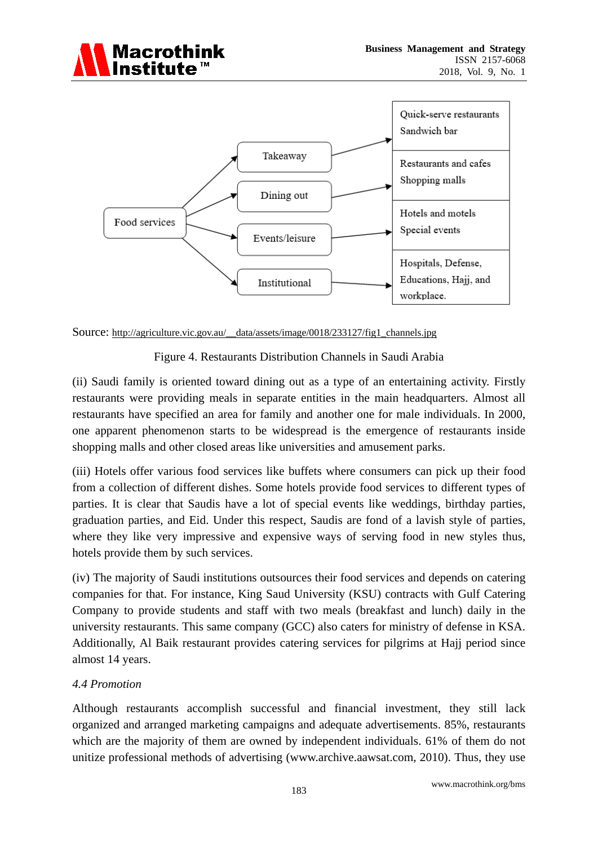



Source: [http://agriculture.vic.gov.au/\\_\\_data/assets/image/0018/233127/fig1\\_channels.jpg](http://agriculture.vic.gov.au/__data/assets/image/0018/233127/fig1_channels.jpg)

Figure 4. Restaurants Distribution Channels in Saudi Arabia

(ii) Saudi family is oriented toward dining out as a type of an entertaining activity. Firstly restaurants were providing meals in separate entities in the main headquarters. Almost all restaurants have specified an area for family and another one for male individuals. In 2000, one apparent phenomenon starts to be widespread is the emergence of restaurants inside shopping malls and other closed areas like universities and amusement parks.

(iii) Hotels offer various food services like buffets where consumers can pick up their food from a collection of different dishes. Some hotels provide food services to different types of parties. It is clear that Saudis have a lot of special events like weddings, birthday parties, graduation parties, and Eid. Under this respect, Saudis are fond of a lavish style of parties, where they like very impressive and expensive ways of serving food in new styles thus, hotels provide them by such services.

(iv) The majority of Saudi institutions outsources their food services and depends on catering companies for that. For instance, King Saud University (KSU) contracts with Gulf Catering Company to provide students and staff with two meals (breakfast and lunch) daily in the university restaurants. This same company (GCC) also caters for ministry of defense in KSA. Additionally, Al Baik restaurant provides catering services for pilgrims at Hajj period since almost 14 years.

# *4.4 Promotion*

Although restaurants accomplish successful and financial investment, they still lack organized and arranged marketing campaigns and adequate advertisements. 85%, restaurants which are the majority of them are owned by independent individuals. 61% of them do not unitize professional methods of advertising (www.archive.aawsat.com, 2010). Thus, they use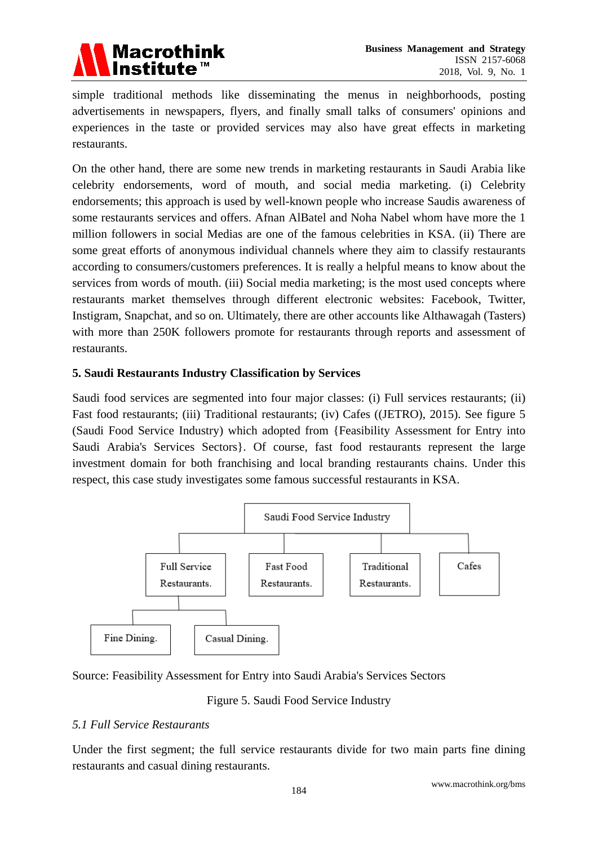

simple traditional methods like disseminating the menus in neighborhoods, posting advertisements in newspapers, flyers, and finally small talks of consumers' opinions and experiences in the taste or provided services may also have great effects in marketing restaurants.

On the other hand, there are some new trends in marketing restaurants in Saudi Arabia like celebrity endorsements, word of mouth, and social media marketing. (i) Celebrity endorsements; this approach is used by well-known people who increase Saudis awareness of some restaurants services and offers. Afnan AlBatel and Noha Nabel whom have more the 1 million followers in social Medias are one of the famous celebrities in KSA. (ii) There are some great efforts of anonymous individual channels where they aim to classify restaurants according to consumers/customers preferences. It is really a helpful means to know about the services from words of mouth. (iii) Social media marketing; is the most used concepts where restaurants market themselves through different electronic websites: Facebook, Twitter, Instigram, Snapchat, and so on. Ultimately, there are other accounts like Althawagah (Tasters) with more than 250K followers promote for restaurants through reports and assessment of restaurants.

#### **5. Saudi Restaurants Industry Classification by Services**

Saudi food services are segmented into four major classes: (i) Full services restaurants; (ii) Fast food restaurants; (iii) Traditional restaurants; (iv) Cafes ((JETRO), 2015). See figure 5 (Saudi Food Service Industry) which adopted from {Feasibility Assessment for Entry into Saudi Arabia's Services Sectors}. Of course, fast food restaurants represent the large investment domain for both franchising and local branding restaurants chains. Under this respect, this case study investigates some famous successful restaurants in KSA.



Source: Feasibility Assessment for Entry into Saudi Arabia's Services Sectors

Figure 5. Saudi Food Service Industry

# *5.1 Full Service Restaurants*

Under the first segment; the full service restaurants divide for two main parts fine dining restaurants and casual dining restaurants.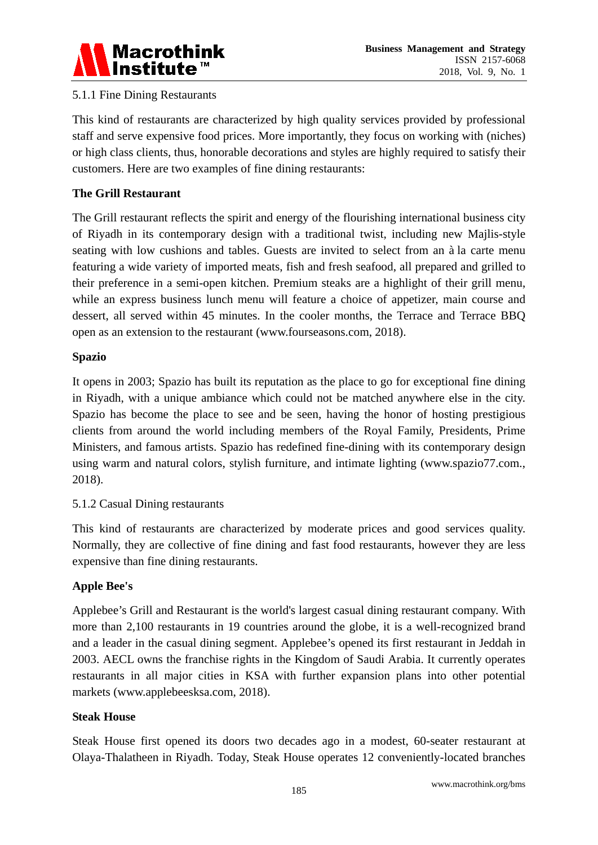

# 5.1.1 Fine Dining Restaurants

This kind of restaurants are characterized by high quality services provided by professional staff and serve expensive food prices. More importantly, they focus on working with (niches) or high class clients, thus, honorable decorations and styles are highly required to satisfy their customers. Here are two examples of fine dining restaurants:

# **The Grill Restaurant**

The Grill restaurant reflects the spirit and energy of the flourishing international business city of Riyadh in its contemporary design with a traditional twist, including new Majlis-style seating with low cushions and tables. Guests are invited to select from an à la carte menu featuring a wide variety of imported meats, fish and fresh seafood, all prepared and grilled to their preference in a semi-open kitchen. Premium steaks are a highlight of their grill menu, while an express business lunch menu will feature a choice of appetizer, main course and dessert, all served within 45 minutes. In the cooler months, the Terrace and Terrace BBQ open as an extension to the restaurant (www.fourseasons.com, 2018).

#### **Spazio**

It opens in 2003; Spazio has built its reputation as the place to go for exceptional fine dining in Riyadh, with a unique ambiance which could not be matched anywhere else in the city. Spazio has become the place to see and be seen, having the honor of hosting prestigious clients from around the world including members of the Royal Family, Presidents, Prime Ministers, and famous artists. Spazio has redefined fine-dining with its contemporary design using warm and natural colors, stylish furniture, and intimate lighting (www.spazio77.com., 2018).

# 5.1.2 Casual Dining restaurants

This kind of restaurants are characterized by moderate prices and good services quality. Normally, they are collective of fine dining and fast food restaurants, however they are less expensive than fine dining restaurants.

# **Apple Bee's**

Applebee's Grill and Restaurant is the world's largest casual dining restaurant company. With more than 2,100 restaurants in 19 countries around the globe, it is a well-recognized brand and a leader in the casual dining segment. Applebee's opened its first restaurant in Jeddah in 2003. AECL owns the franchise rights in the Kingdom of Saudi Arabia. It currently operates restaurants in all major cities in KSA with further expansion plans into other potential markets (www.applebeesksa.com, 2018).

#### **Steak House**

Steak House first opened its doors two decades ago in a modest, 60-seater restaurant at Olaya-Thalatheen in Riyadh. Today, Steak House operates 12 conveniently-located branches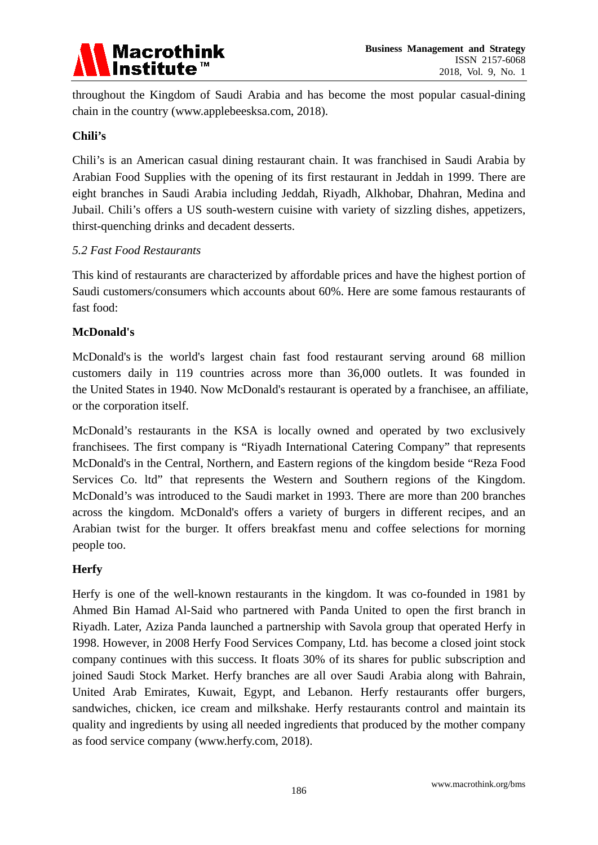

throughout the Kingdom of Saudi Arabia and has become the most popular casual-dining chain in the country (www.applebeesksa.com, 2018).

#### **Chili's**

Chili's is an American casual dining restaurant chain. It was franchised in Saudi Arabia by Arabian Food Supplies with the opening of its first restaurant in Jeddah in 1999. There are eight branches in Saudi Arabia including Jeddah, Riyadh, Alkhobar, Dhahran, Medina and Jubail. Chili's offers a US south-western cuisine with variety of sizzling dishes, appetizers, thirst-quenching drinks and decadent desserts.

#### *5.2 Fast Food Restaurants*

This kind of restaurants are characterized by affordable prices and have the highest portion of Saudi customers/consumers which accounts about 60%. Here are some famous restaurants of fast food:

# **McDonald's**

McDonald's is the world's largest chain fast food restaurant serving around 68 million customers daily in 119 countries across more than 36,000 outlets. It was founded in the United States in 1940. Now McDonald's restaurant is operated by a franchisee, an affiliate, or the corporation itself.

McDonald's restaurants in the KSA is locally owned and operated by two exclusively franchisees. The first company is "Riyadh International Catering Company" that represents McDonald's in the Central, Northern, and Eastern regions of the kingdom beside "Reza Food Services Co. ltd" that represents the Western and Southern regions of the Kingdom. McDonald's was introduced to the Saudi market in 1993. There are more than 200 branches across the kingdom. McDonald's offers a variety of burgers in different recipes, and an Arabian twist for the burger. It offers breakfast menu and coffee selections for morning people too.

# **Herfy**

Herfy is one of the well-known restaurants in the kingdom. It was co-founded in 1981 by Ahmed Bin Hamad Al-Said who partnered with Panda United to open the first branch in Riyadh. Later, Aziza Panda launched a partnership with Savola group that operated Herfy in 1998. However, in 2008 Herfy Food Services Company, Ltd. has become a closed joint stock company continues with this success. It floats 30% of its shares for public subscription and joined Saudi Stock Market. Herfy branches are all over Saudi Arabia along with Bahrain, United Arab Emirates, Kuwait, Egypt, and Lebanon. Herfy restaurants offer burgers, sandwiches, chicken, ice cream and milkshake. Herfy restaurants control and maintain its quality and ingredients by using all needed ingredients that produced by the mother company as food service company (www.herfy.com, 2018).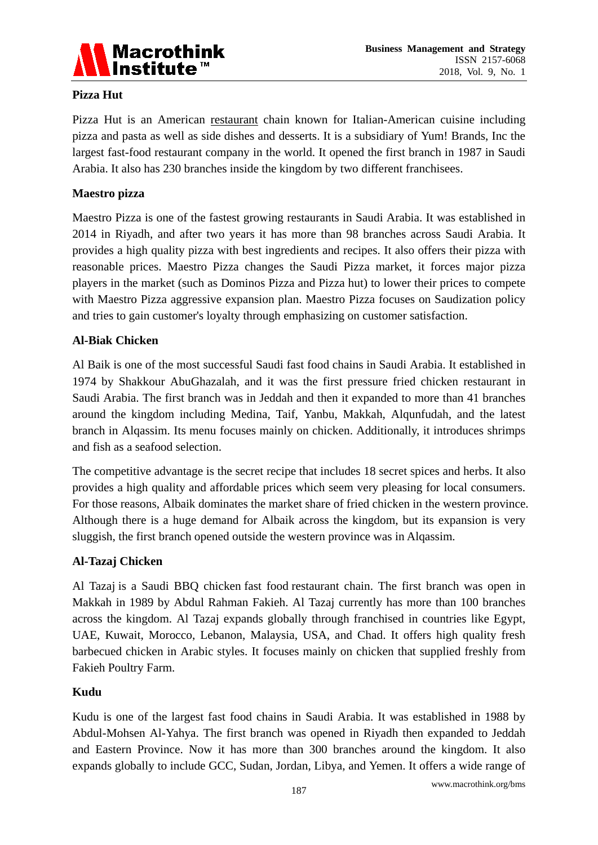

# **Pizza Hut**

Pizza Hut is an American [restaurant](https://en.wikipedia.org/wiki/Restaurant) chain known for Italian-American cuisine including pizza and pasta as well as side dishes and desserts. It is a subsidiary of Yum! Brands, Inc the largest fast-food restaurant company in the world. It opened the first branch in 1987 in Saudi Arabia. It also has 230 branches inside the kingdom by two different franchisees.

# **Maestro pizza**

Maestro Pizza is one of the fastest growing restaurants in Saudi Arabia. It was established in 2014 in Riyadh, and after two years it has more than 98 branches across Saudi Arabia. It provides a high quality pizza with best ingredients and recipes. It also offers their pizza with reasonable prices. Maestro Pizza changes the Saudi Pizza market, it forces major pizza players in the market (such as Dominos Pizza and Pizza hut) to lower their prices to compete with Maestro Pizza aggressive expansion plan. Maestro Pizza focuses on Saudization policy and tries to gain customer's loyalty through emphasizing on customer satisfaction.

#### **Al-Biak Chicken**

Al Baik is one of the most successful Saudi fast food chains in Saudi Arabia. It established in 1974 by Shakkour AbuGhazalah, and it was the first pressure fried chicken restaurant in Saudi Arabia. The first branch was in Jeddah and then it expanded to more than 41 branches around the kingdom including Medina, Taif, Yanbu, Makkah, Alqunfudah, and the latest branch in Alqassim. Its menu focuses mainly on chicken. Additionally, it introduces shrimps and fish as a seafood selection.

The competitive advantage is the secret recipe that includes 18 secret spices and herbs. It also provides a high quality and affordable prices which seem very pleasing for local consumers. For those reasons, Albaik dominates the market share of fried chicken in the western province. Although there is a huge demand for Albaik across the kingdom, but its expansion is very sluggish, the first branch opened outside the western province was in Alqassim.

# **Al-Tazaj Chicken**

Al Tazaj is a Saudi BBQ chicken fast food restaurant chain. The first branch was open in Makkah in 1989 by Abdul Rahman Fakieh. Al Tazaj currently has more than 100 branches across the kingdom. Al Tazaj expands globally through franchised in countries like Egypt, UAE, Kuwait, Morocco, Lebanon, Malaysia, USA, and Chad. It offers high quality fresh barbecued chicken in Arabic styles. It focuses mainly on chicken that supplied freshly from Fakieh Poultry Farm.

#### **Kudu**

Kudu is one of the largest fast food chains in Saudi Arabia. It was established in 1988 by Abdul-Mohsen Al-Yahya. The first branch was opened in Riyadh then expanded to Jeddah and Eastern Province. Now it has more than 300 branches around the kingdom. It also expands globally to include GCC, Sudan, Jordan, Libya, and Yemen. It offers a wide range of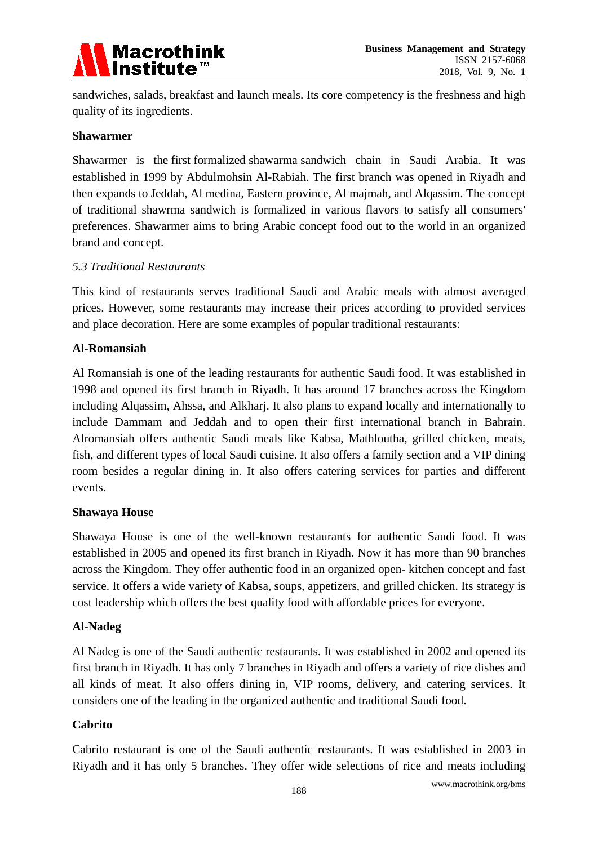

sandwiches, salads, breakfast and launch meals. Its core competency is the freshness and high quality of its ingredients.

#### **Shawarmer**

Shawarmer is the first formalized shawarma sandwich chain in Saudi Arabia. It was established in 1999 by Abdulmohsin Al-Rabiah. The first branch was opened in Riyadh and then expands to Jeddah, Al medina, Eastern province, Al majmah, and Alqassim. The concept of traditional shawrma sandwich is formalized in various flavors to satisfy all consumers' preferences. Shawarmer aims to bring Arabic concept food out to the world in an organized brand and concept.

#### *5.3 Traditional Restaurants*

This kind of restaurants serves traditional Saudi and Arabic meals with almost averaged prices. However, some restaurants may increase their prices according to provided services and place decoration. Here are some examples of popular traditional restaurants:

#### **Al-Romansiah**

Al Romansiah is one of the leading restaurants for authentic Saudi food. It was established in 1998 and opened its first branch in Riyadh. It has around 17 branches across the Kingdom including Alqassim, Ahssa, and Alkharj. It also plans to expand locally and internationally to include Dammam and Jeddah and to open their first international branch in Bahrain. Alromansiah offers authentic Saudi meals like Kabsa, Mathloutha, grilled chicken, meats, fish, and different types of local Saudi cuisine. It also offers a family section and a VIP dining room besides a regular dining in. It also offers catering services for parties and different events.

#### **Shawaya House**

Shawaya House is one of the well-known restaurants for authentic Saudi food. It was established in 2005 and opened its first branch in Riyadh. Now it has more than 90 branches across the Kingdom. They offer authentic food in an organized open- kitchen concept and fast service. It offers a wide variety of Kabsa, soups, appetizers, and grilled chicken. Its strategy is cost leadership which offers the best quality food with affordable prices for everyone.

#### **Al**-**Nadeg**

Al Nadeg is one of the Saudi authentic restaurants. It was established in 2002 and opened its first branch in Riyadh. It has only 7 branches in Riyadh and offers a variety of rice dishes and all kinds of meat. It also offers dining in, VIP rooms, delivery, and catering services. It considers one of the leading in the organized authentic and traditional Saudi food.

# **Cabrito**

Cabrito restaurant is one of the Saudi authentic restaurants. It was established in 2003 in Riyadh and it has only 5 branches. They offer wide selections of rice and meats including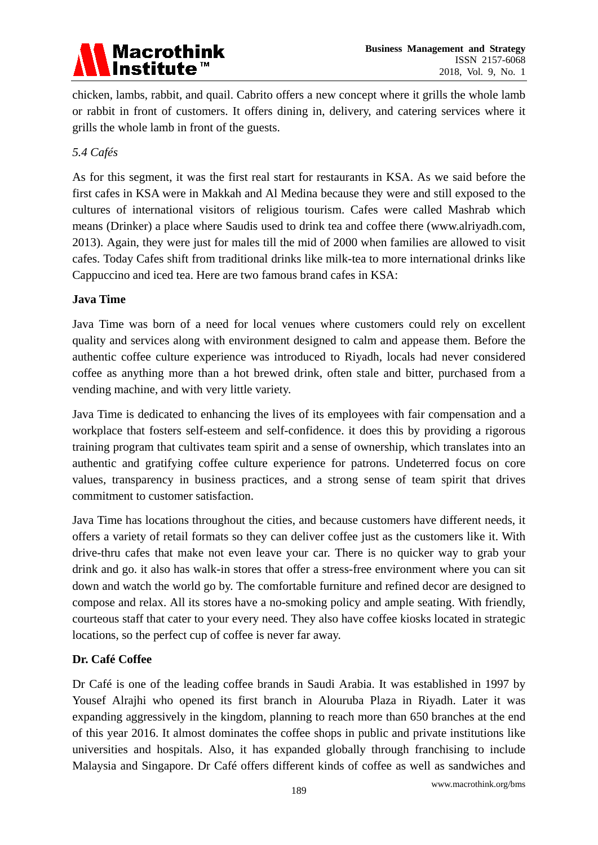

chicken, lambs, rabbit, and quail. Cabrito offers a new concept where it grills the whole lamb or rabbit in front of customers. It offers dining in, delivery, and catering services where it grills the whole lamb in front of the guests.

#### *5.4 Cafés*

As for this segment, it was the first real start for restaurants in KSA. As we said before the first cafes in KSA were in Makkah and Al Medina because they were and still exposed to the cultures of international visitors of religious tourism. Cafes were called Mashrab which means (Drinker) a place where Saudis used to drink tea and coffee there (www.alriyadh.com, 2013). Again, they were just for males till the mid of 2000 when families are allowed to visit cafes. Today Cafes shift from traditional drinks like milk-tea to more international drinks like Cappuccino and iced tea. Here are two famous brand cafes in KSA:

# **Java Time**

Java Time was born of a need for local venues where customers could rely on excellent quality and services along with environment designed to calm and appease them. Before the authentic coffee culture experience was introduced to Riyadh, locals had never considered coffee as anything more than a hot brewed drink, often stale and bitter, purchased from a vending machine, and with very little variety.

Java Time is dedicated to enhancing the lives of its employees with fair compensation and a workplace that fosters self-esteem and self-confidence. it does this by providing a rigorous training program that cultivates team spirit and a sense of ownership, which translates into an authentic and gratifying coffee culture experience for patrons. Undeterred focus on core values, transparency in business practices, and a strong sense of team spirit that drives commitment to customer satisfaction.

Java Time has locations throughout the cities, and because customers have different needs, it offers a variety of retail formats so they can deliver coffee just as the customers like it. With drive-thru cafes that make not even leave your car. There is no quicker way to grab your drink and go. it also has walk-in stores that offer a stress-free environment where you can sit down and watch the world go by. The comfortable furniture and refined decor are designed to compose and relax. All its stores have a no-smoking policy and ample seating. With friendly, courteous staff that cater to your every need. They also have coffee kiosks located in strategic locations, so the perfect cup of coffee is never far away.

# **Dr. Café Coffee**

Dr Café is one of the leading coffee brands in Saudi Arabia. It was established in 1997 by Yousef Alrajhi who opened its first branch in Alouruba Plaza in Riyadh. Later it was expanding aggressively in the kingdom, planning to reach more than 650 branches at the end of this year 2016. It almost dominates the coffee shops in public and private institutions like universities and hospitals. Also, it has expanded globally through franchising to include Malaysia and Singapore. Dr Café offers different kinds of coffee as well as sandwiches and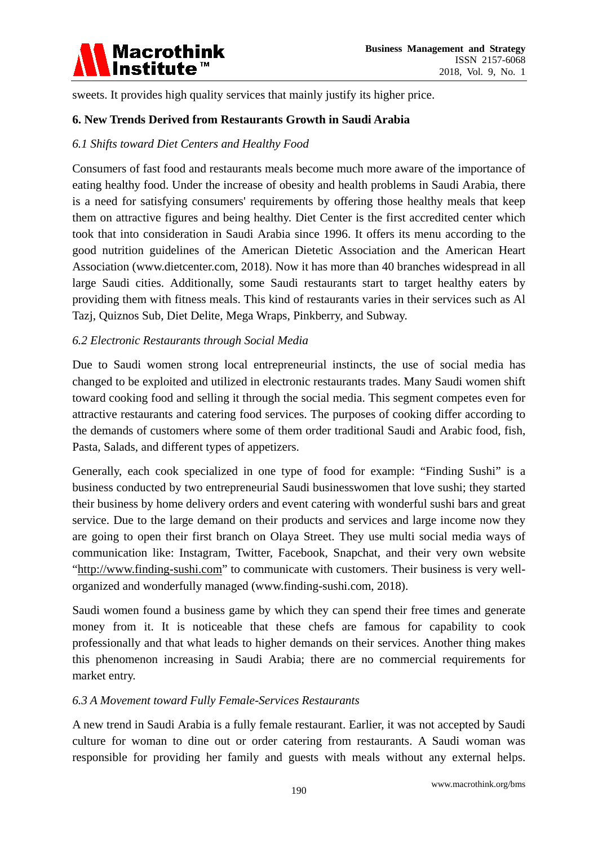

sweets. It provides high quality services that mainly justify its higher price.

#### **6. New Trends Derived from Restaurants Growth in Saudi Arabia**

#### *6.1 Shifts toward Diet Centers and Healthy Food*

Consumers of fast food and restaurants meals become much more aware of the importance of eating healthy food. Under the increase of obesity and health problems in Saudi Arabia, there is a need for satisfying consumers' requirements by offering those healthy meals that keep them on attractive figures and being healthy. Diet Center is the first accredited center which took that into consideration in Saudi Arabia since 1996. It offers its menu according to the good nutrition guidelines of the American Dietetic Association and the American Heart Association (www.dietcenter.com, 2018). Now it has more than 40 branches widespread in all large Saudi cities. Additionally, some Saudi restaurants start to target healthy eaters by providing them with fitness meals. This kind of restaurants varies in their services such as Al Tazj, Quiznos Sub, Diet Delite, Mega Wraps, Pinkberry, and Subway.

#### *6.2 Electronic Restaurants through Social Media*

Due to Saudi women strong local entrepreneurial instincts, the use of social media has changed to be exploited and utilized in electronic restaurants trades. Many Saudi women shift toward cooking food and selling it through the social media. This segment competes even for attractive restaurants and catering food services. The purposes of cooking differ according to the demands of customers where some of them order traditional Saudi and Arabic food, fish, Pasta, Salads, and different types of appetizers.

Generally, each cook specialized in one type of food for example: "Finding Sushi" is a business conducted by two entrepreneurial Saudi businesswomen that love sushi; they started their business by home delivery orders and event catering with wonderful sushi bars and great service. Due to the large demand on their products and services and large income now they are going to open their first branch on Olaya Street. They use multi social media ways of communication like: Instagram, Twitter, Facebook, Snapchat, and their very own website ["http://www.finding-sushi.com"](http://www.finding-sushi.com/) to communicate with customers. Their business is very wellorganized and wonderfully managed (www.finding-sushi.com, 2018).

Saudi women found a business game by which they can spend their free times and generate money from it. It is noticeable that these chefs are famous for capability to cook professionally and that what leads to higher demands on their services. Another thing makes this phenomenon increasing in Saudi Arabia; there are no commercial requirements for market entry.

#### *6.3 A Movement toward Fully Female-Services Restaurants*

A new trend in Saudi Arabia is a fully female restaurant. Earlier, it was not accepted by Saudi culture for woman to dine out or order catering from restaurants. A Saudi woman was responsible for providing her family and guests with meals without any external helps.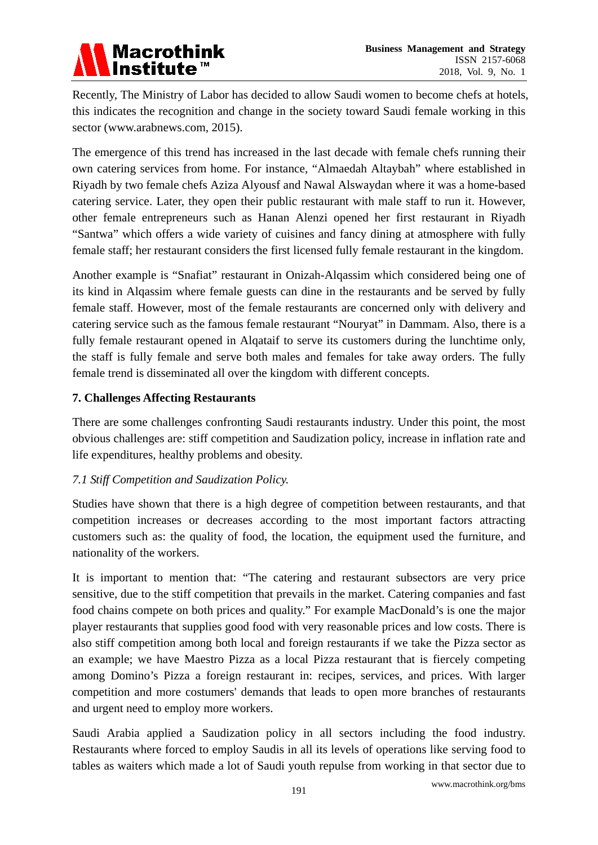Recently, The Ministry of Labor has decided to allow Saudi women to become chefs at hotels, this indicates the recognition and change in the society toward Saudi female working in this sector (www.arabnews.com, 2015).

The emergence of this trend has increased in the last decade with female chefs running their own catering services from home. For instance, "Almaedah Altaybah" where established in Riyadh by two female chefs Aziza Alyousf and Nawal Alswaydan where it was a home-based catering service. Later, they open their public restaurant with male staff to run it. However, other female entrepreneurs such as Hanan Alenzi opened her first restaurant in Riyadh "Santwa" which offers a wide variety of cuisines and fancy dining at atmosphere with fully female staff; her restaurant considers the first licensed fully female restaurant in the kingdom.

Another example is "Snafiat" restaurant in Onizah-Alqassim which considered being one of its kind in Alqassim where female guests can dine in the restaurants and be served by fully female staff. However, most of the female restaurants are concerned only with delivery and catering service such as the famous female restaurant "Nouryat" in Dammam. Also, there is a fully female restaurant opened in Alqataif to serve its customers during the lunchtime only, the staff is fully female and serve both males and females for take away orders. The fully female trend is disseminated all over the kingdom with different concepts.

# **7. Challenges Affecting Restaurants**

There are some challenges confronting Saudi restaurants industry. Under this point, the most obvious challenges are: stiff competition and Saudization policy, increase in inflation rate and life expenditures, healthy problems and obesity.

# *7.1 Stiff Competition and Saudization Policy.*

Studies have shown that there is a high degree of competition between restaurants, and that competition increases or decreases according to the most important factors attracting customers such as: the quality of food, the location, the equipment used the furniture, and nationality of the workers.

It is important to mention that: "The catering and restaurant subsectors are very price sensitive, due to the stiff competition that prevails in the market. Catering companies and fast food chains compete on both prices and quality." For example MacDonald's is one the major player restaurants that supplies good food with very reasonable prices and low costs. There is also stiff competition among both local and foreign restaurants if we take the Pizza sector as an example; we have Maestro Pizza as a local Pizza restaurant that is fiercely competing among Domino's Pizza a foreign restaurant in: recipes, services, and prices. With larger competition and more costumers' demands that leads to open more branches of restaurants and urgent need to employ more workers.

Saudi Arabia applied a Saudization policy in all sectors including the food industry. Restaurants where forced to employ Saudis in all its levels of operations like serving food to tables as waiters which made a lot of Saudi youth repulse from working in that sector due to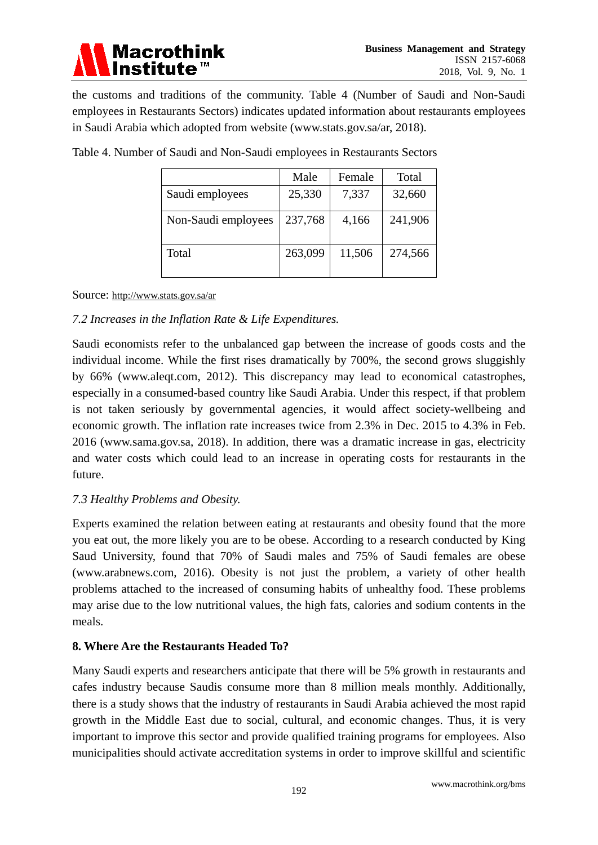# **Macrothink** Institute

the customs and traditions of the community. Table 4 (Number of Saudi and Non-Saudi employees in Restaurants Sectors) indicates updated information about restaurants employees in Saudi Arabia which adopted from website (www.stats.gov.sa/ar, 2018).

|                     | Male    | Female | Total   |
|---------------------|---------|--------|---------|
| Saudi employees     | 25,330  | 7,337  | 32,660  |
| Non-Saudi employees | 237,768 | 4,166  | 241,906 |
| Total               | 263,099 | 11,506 | 274,566 |

Table 4. Number of Saudi and Non-Saudi employees in Restaurants Sectors

#### Source:<http://www.stats.gov.sa/ar>

# *7.2 Increases in the Inflation Rate & Life Expenditures.*

Saudi economists refer to the unbalanced gap between the increase of goods costs and the individual income. While the first rises dramatically by 700%, the second grows sluggishly by 66% (www.aleqt.com, 2012). This discrepancy may lead to economical catastrophes, especially in a consumed-based country like Saudi Arabia. Under this respect, if that problem is not taken seriously by governmental agencies, it would affect society-wellbeing and economic growth. The inflation rate increases twice from 2.3% in Dec. 2015 to 4.3% in Feb. 2016 (www.sama.gov.sa, 2018). In addition, there was a dramatic increase in gas, electricity and water costs which could lead to an increase in operating costs for restaurants in the future.

# *7.3 Healthy Problems and Obesity.*

Experts examined the relation between eating at restaurants and obesity found that the more you eat out, the more likely you are to be obese. According to a research conducted by King Saud University, found that 70% of Saudi males and 75% of Saudi females are obese (www.arabnews.com, 2016). Obesity is not just the problem, a variety of other health problems attached to the increased of consuming habits of unhealthy food. These problems may arise due to the low nutritional values, the high fats, calories and sodium contents in the meals.

# **8. Where Are the Restaurants Headed To?**

Many Saudi experts and researchers anticipate that there will be 5% growth in restaurants and cafes industry because Saudis consume more than 8 million meals monthly. Additionally, there is a study shows that the industry of restaurants in Saudi Arabia achieved the most rapid growth in the Middle East due to social, cultural, and economic changes. Thus, it is very important to improve this sector and provide qualified training programs for employees. Also municipalities should activate accreditation systems in order to improve skillful and scientific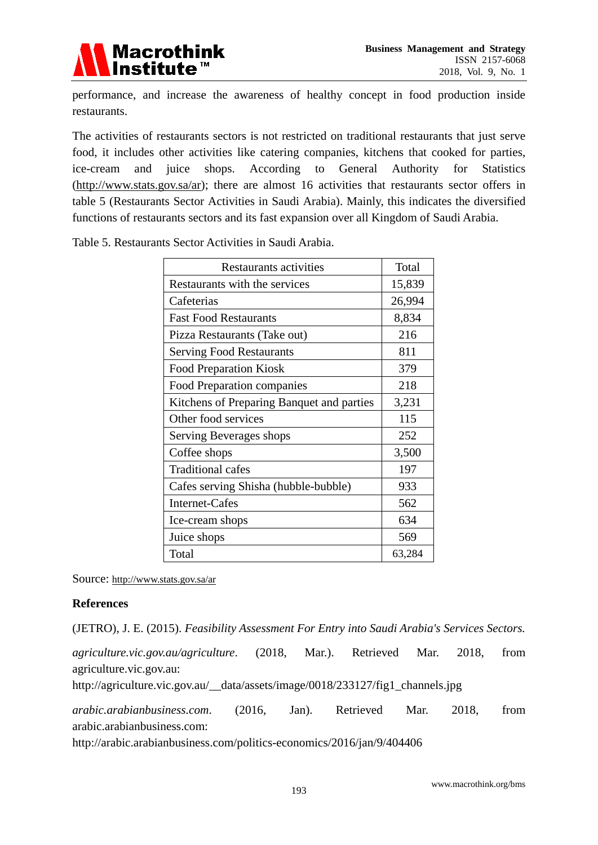

performance, and increase the awareness of healthy concept in food production inside restaurants.

The activities of restaurants sectors is not restricted on traditional restaurants that just serve food, it includes other activities like catering companies, kitchens that cooked for parties, ice-cream and juice shops. According to General Authority for Statistics [\(http://www.stats.gov.sa/ar\)](http://www.stats.gov.sa/ar); there are almost 16 activities that restaurants sector offers in table 5 (Restaurants Sector Activities in Saudi Arabia). Mainly, this indicates the diversified functions of restaurants sectors and its fast expansion over all Kingdom of Saudi Arabia.

Table 5. Restaurants Sector Activities in Saudi Arabia.

| Restaurants activities                    | Total  |
|-------------------------------------------|--------|
| Restaurants with the services             | 15,839 |
| Cafeterias                                | 26,994 |
| <b>Fast Food Restaurants</b>              | 8,834  |
| Pizza Restaurants (Take out)              | 216    |
| <b>Serving Food Restaurants</b>           | 811    |
| <b>Food Preparation Kiosk</b>             | 379    |
| Food Preparation companies                | 218    |
| Kitchens of Preparing Banquet and parties | 3,231  |
| Other food services                       | 115    |
| Serving Beverages shops                   | 252    |
| Coffee shops                              | 3,500  |
| <b>Traditional cafes</b>                  | 197    |
| Cafes serving Shisha (hubble-bubble)      | 933    |
| Internet-Cafes                            | 562    |
| Ice-cream shops                           | 634    |
| Juice shops                               | 569    |
| Total                                     | 63,284 |

Source:<http://www.stats.gov.sa/ar>

#### **References**

(JETRO), J. E. (2015). *Feasibility Assessment For Entry into Saudi Arabia's Services Sectors.*

*agriculture.vic.gov.au/agriculture*. (2018, Mar.). Retrieved Mar. 2018, from agriculture.vic.gov.au:

http://agriculture.vic.gov.au/\_\_data/assets/image/0018/233127/fig1\_channels.jpg

*arabic.arabianbusiness.com*. (2016, Jan). Retrieved Mar. 2018, from arabic.arabianbusiness.com:

http://arabic.arabianbusiness.com/politics-economics/2016/jan/9/404406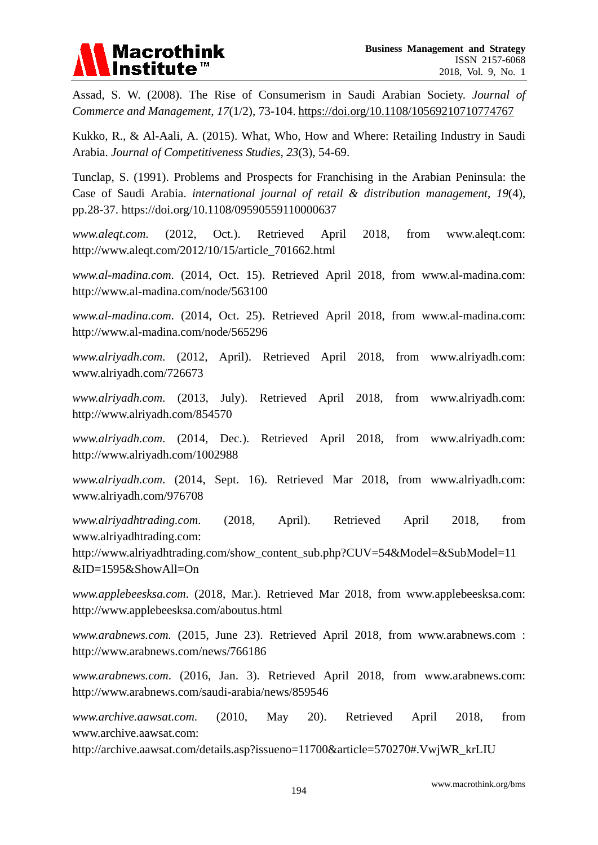

Assad, S. W. (2008). The Rise of Consumerism in Saudi Arabian Society. *Journal of Commerce and Management*, *17*(1/2), 73-104. [https://doi.org/10.1108/10569210710774767](http://dx.doi.org/10.1108/10569210710774767)

Kukko, R., & Al-Aali, A. (2015). What, Who, How and Where: Retailing Industry in Saudi Arabia. *Journal of Competitiveness Studies*, *23*(3), 54-69.

Tunclap, S. (1991). Problems and Prospects for Franchising in the Arabian Peninsula: the Case of Saudi Arabia. *international journal of retail & distribution management*, *19*(4), pp.28-37. https://doi.org/10.1108/09590559110000637

*www.aleqt.com*. (2012, Oct.). Retrieved April 2018, from www.aleqt.com: http://www.aleqt.com/2012/10/15/article\_701662.html

*www.al-madina.com*. (2014, Oct. 15). Retrieved April 2018, from www.al-madina.com: http://www.al-madina.com/node/563100

*www.al-madina.com*. (2014, Oct. 25). Retrieved April 2018, from www.al-madina.com: http://www.al-madina.com/node/565296

*www.alriyadh.com*. (2012, April). Retrieved April 2018, from www.alriyadh.com: www.alriyadh.com/726673

*www.alriyadh.com*. (2013, July). Retrieved April 2018, from www.alriyadh.com: http://www.alriyadh.com/854570

*www.alriyadh.com*. (2014, Dec.). Retrieved April 2018, from www.alriyadh.com: http://www.alriyadh.com/1002988

*www.alriyadh.com*. (2014, Sept. 16). Retrieved Mar 2018, from www.alriyadh.com: www.alriyadh.com/976708

*www.alriyadhtrading.com*. (2018, April). Retrieved April 2018, from www.alriyadhtrading.com:

http://www.alriyadhtrading.com/show\_content\_sub.php?CUV=54&Model=&SubModel=11 &ID=1595&ShowAll=On

*www.applebeesksa.com*. (2018, Mar.). Retrieved Mar 2018, from www.applebeesksa.com: http://www.applebeesksa.com/aboutus.html

*www.arabnews.com.* (2015, June 23). Retrieved April 2018, from www.arabnews.com : http://www.arabnews.com/news/766186

*www.arabnews.com*. (2016, Jan. 3). Retrieved April 2018, from www.arabnews.com: http://www.arabnews.com/saudi-arabia/news/859546

*www.archive.aawsat.com*. (2010, May 20). Retrieved April 2018, from www.archive.aawsat.com:

http://archive.aawsat.com/details.asp?issueno=11700&article=570270#.VwjWR\_krLIU